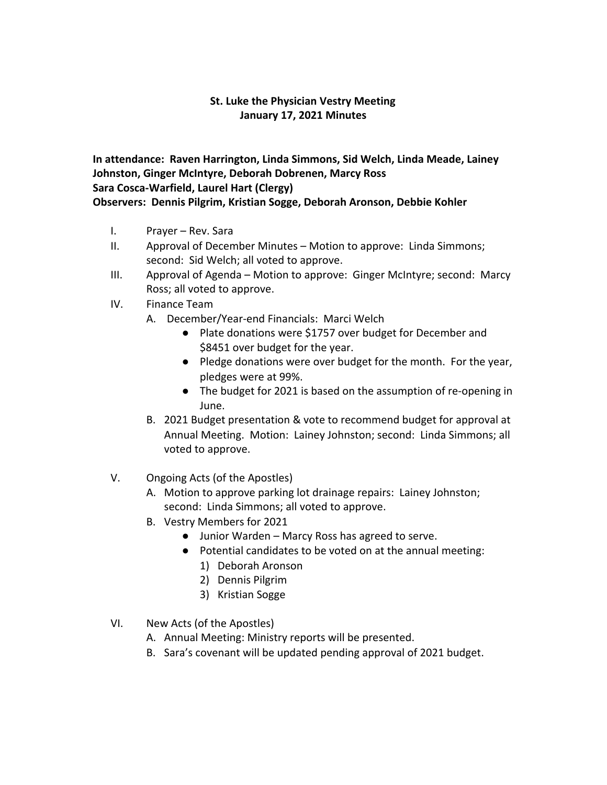## **St. Luke the Physician Vestry Meeting January 17, 2021 Minutes**

## **In attendance: Raven Harrington, Linda Simmons, Sid Welch, Linda Meade, Lainey Johnston, Ginger McIntyre, Deborah Dobrenen, Marcy Ross Sara Cosca-Warfield, Laurel Hart (Clergy) Observers: Dennis Pilgrim, Kristian Sogge, Deborah Aronson, Debbie Kohler**

- I. Prayer Rev. Sara
- II. Approval of December Minutes Motion to approve: Linda Simmons; second: Sid Welch; all voted to approve.
- III. Approval of Agenda Motion to approve: Ginger McIntyre; second: Marcy Ross; all voted to approve.
- IV. Finance Team
	- A. December/Year-end Financials: Marci Welch
		- Plate donations were \$1757 over budget for December and \$8451 over budget for the year.
		- Pledge donations were over budget for the month. For the year, pledges were at 99%.
		- The budget for 2021 is based on the assumption of re-opening in June.
	- B. 2021 Budget presentation & vote to recommend budget for approval at Annual Meeting. Motion: Lainey Johnston; second: Linda Simmons; all voted to approve.
- V. Ongoing Acts (of the Apostles)
	- A. Motion to approve parking lot drainage repairs: Lainey Johnston; second: Linda Simmons; all voted to approve.
	- B. Vestry Members for 2021
		- Junior Warden Marcy Ross has agreed to serve.
		- Potential candidates to be voted on at the annual meeting:
			- 1) Deborah Aronson
			- 2) Dennis Pilgrim
			- 3) Kristian Sogge
- VI. New Acts (of the Apostles)
	- A. Annual Meeting: Ministry reports will be presented.
	- B. Sara's covenant will be updated pending approval of 2021 budget.